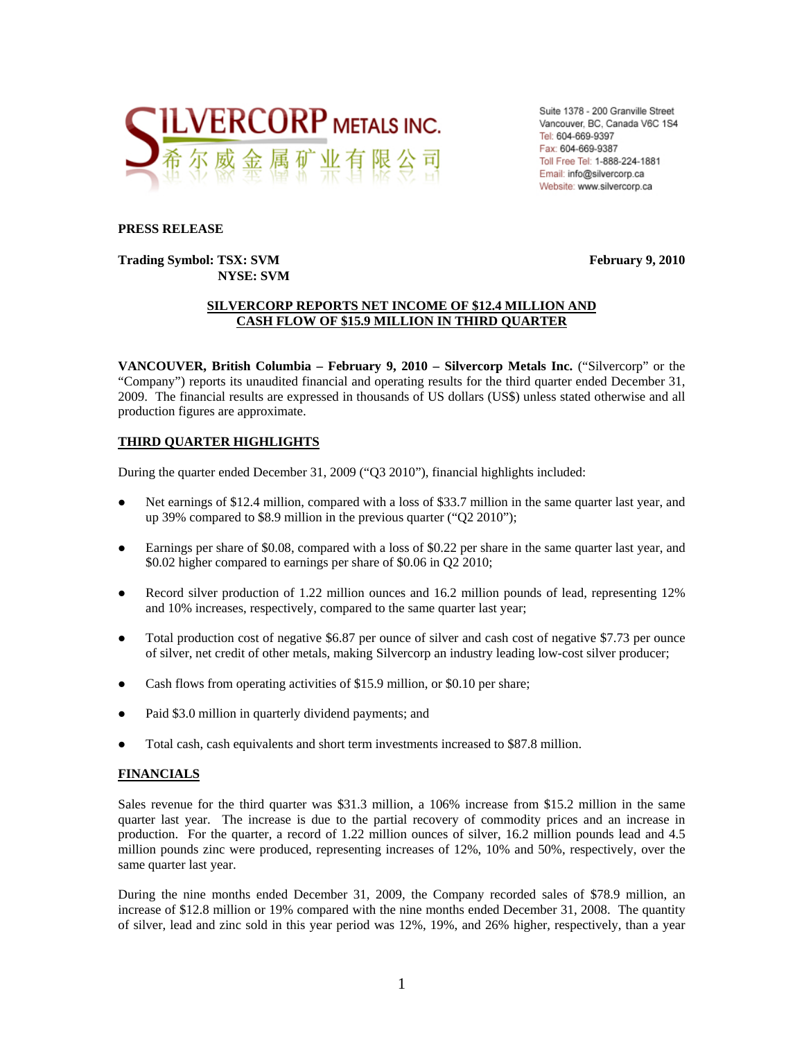

Suite 1378 - 200 Granville Street Vancouver, BC, Canada V6C 1S4 Tel: 604-669-9397 Fax: 604-669-9387 Toll Free Tel: 1-888-224-1881 Email: info@silvercorp.ca Website: www.silvercorp.ca

#### **PRESS RELEASE**

**Trading Symbol: TSX: SVM February 9, 2010 February 9, 2010 NYSE: SVM** 

### **SILVERCORP REPORTS NET INCOME OF \$12.4 MILLION AND CASH FLOW OF \$15.9 MILLION IN THIRD QUARTER**

**VANCOUVER, British Columbia – February 9, 2010 – Silvercorp Metals Inc.** ("Silvercorp" or the "Company") reports its unaudited financial and operating results for the third quarter ended December 31, 2009. The financial results are expressed in thousands of US dollars (US\$) unless stated otherwise and all production figures are approximate.

### **THIRD QUARTER HIGHLIGHTS**

During the quarter ended December 31, 2009 ("Q3 2010"), financial highlights included:

- Net earnings of \$12.4 million, compared with a loss of \$33.7 million in the same quarter last year, and up 39% compared to \$8.9 million in the previous quarter ("Q2 2010");
- Earnings per share of \$0.08, compared with a loss of \$0.22 per share in the same quarter last year, and \$0.02 higher compared to earnings per share of \$0.06 in Q2 2010;
- Record silver production of 1.22 million ounces and 16.2 million pounds of lead, representing 12% and 10% increases, respectively, compared to the same quarter last year;
- Total production cost of negative \$6.87 per ounce of silver and cash cost of negative \$7.73 per ounce of silver, net credit of other metals, making Silvercorp an industry leading low-cost silver producer;
- Cash flows from operating activities of \$15.9 million, or \$0.10 per share;
- Paid \$3.0 million in quarterly dividend payments; and
- Total cash, cash equivalents and short term investments increased to \$87.8 million.

### **FINANCIALS**

Sales revenue for the third quarter was \$31.3 million, a 106% increase from \$15.2 million in the same quarter last year. The increase is due to the partial recovery of commodity prices and an increase in production. For the quarter, a record of 1.22 million ounces of silver, 16.2 million pounds lead and 4.5 million pounds zinc were produced, representing increases of 12%, 10% and 50%, respectively, over the same quarter last year.

During the nine months ended December 31, 2009, the Company recorded sales of \$78.9 million, an increase of \$12.8 million or 19% compared with the nine months ended December 31, 2008. The quantity of silver, lead and zinc sold in this year period was 12%, 19%, and 26% higher, respectively, than a year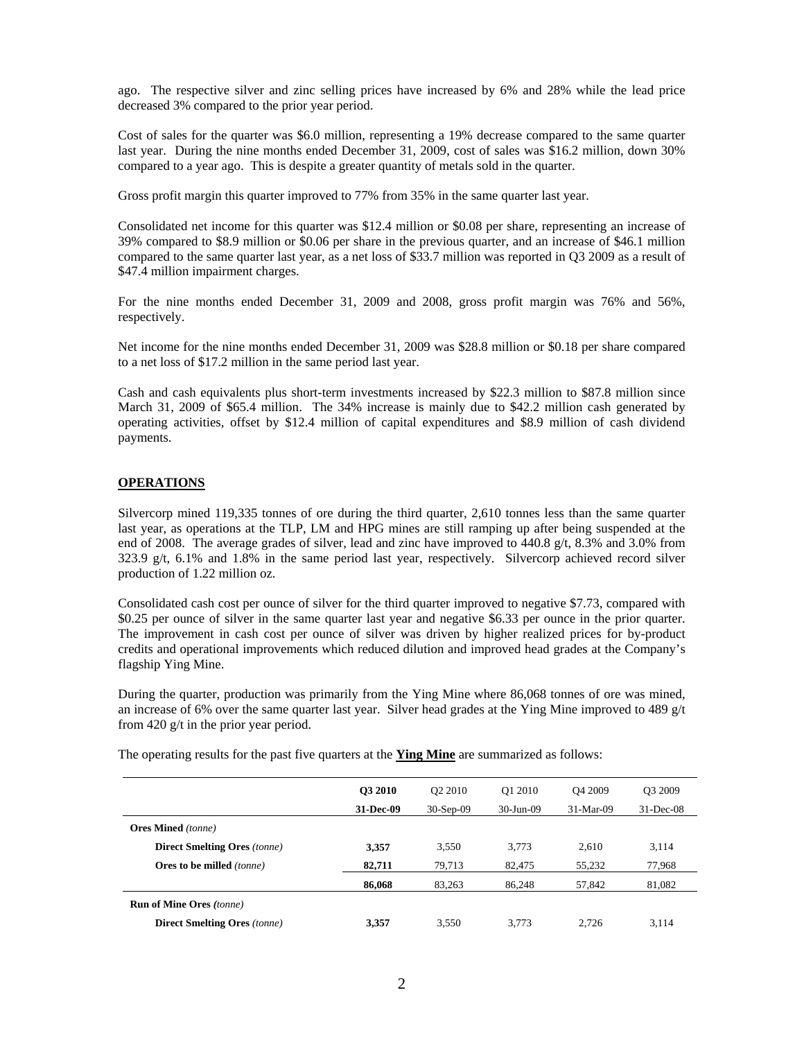ago. The respective silver and zinc selling prices have increased by 6% and 28% while the lead price decreased 3% compared to the prior year period.

Cost of sales for the quarter was \$6.0 million, representing a 19% decrease compared to the same quarter last year. During the nine months ended December 31, 2009, cost of sales was \$16.2 million, down 30% compared to a year ago. This is despite a greater quantity of metals sold in the quarter.

Gross profit margin this quarter improved to 77% from 35% in the same quarter last year.

Consolidated net income for this quarter was \$12.4 million or \$0.08 per share, representing an increase of 39% compared to \$8.9 million or \$0.06 per share in the previous quarter, and an increase of \$46.1 million compared to the same quarter last year, as a net loss of \$33.7 million was reported in Q3 2009 as a result of \$47.4 million impairment charges.

For the nine months ended December 31, 2009 and 2008, gross profit margin was 76% and 56%, respectively.

Net income for the nine months ended December 31, 2009 was \$28.8 million or \$0.18 per share compared to a net loss of \$17.2 million in the same period last year.

Cash and cash equivalents plus short-term investments increased by \$22.3 million to \$87.8 million since March 31, 2009 of \$65.4 million. The 34% increase is mainly due to \$42.2 million cash generated by operating activities, offset by \$12.4 million of capital expenditures and \$8.9 million of cash dividend payments.

### **OPERATIONS**

Silvercorp mined 119,335 tonnes of ore during the third quarter, 2,610 tonnes less than the same quarter last year, as operations at the TLP, LM and HPG mines are still ramping up after being suspended at the end of 2008. The average grades of silver, lead and zinc have improved to 440.8 g/t, 8.3% and 3.0% from  $323.9 \text{ g/t}$ , 6.1% and 1.8% in the same period last year, respectively. Silvercorp achieved record silver production of 1.22 million oz.

Consolidated cash cost per ounce of silver for the third quarter improved to negative \$7.73, compared with \$0.25 per ounce of silver in the same quarter last year and negative \$6.33 per ounce in the prior quarter. The improvement in cash cost per ounce of silver was driven by higher realized prices for by-product credits and operational improvements which reduced dilution and improved head grades at the Company's flagship Ying Mine.

During the quarter, production was primarily from the Ying Mine where 86,068 tonnes of ore was mined, an increase of 6% over the same quarter last year. Silver head grades at the Ying Mine improved to 489  $g/t$ from 420 g/t in the prior year period.

|  |  |  | The operating results for the past five quarters at the <b>Ying Mine</b> are summarized as follows: |
|--|--|--|-----------------------------------------------------------------------------------------------------|
|--|--|--|-----------------------------------------------------------------------------------------------------|

|                                     | <b>O3 2010</b> | Q <sub>2</sub> 2010 | Q1 2010   | O <sub>4</sub> 2009 | O <sub>3</sub> 2009 |
|-------------------------------------|----------------|---------------------|-----------|---------------------|---------------------|
|                                     | 31-Dec-09      | $30-Sep-09$         | 30-Jun-09 | $31-Mar-09$         | $31$ -Dec-08        |
| <b>Ores Mined</b> (tonne)           |                |                     |           |                     |                     |
| <b>Direct Smelting Ores (tonne)</b> | 3,357          | 3,550               | 3.773     | 2,610               | 3,114               |
| <b>Ores to be milled</b> (tonne)    | 82,711         | 79,713              | 82,475    | 55,232              | 77,968              |
|                                     | 86,068         | 83,263              | 86,248    | 57,842              | 81,082              |
| <b>Run of Mine Ores (tonne)</b>     |                |                     |           |                     |                     |
| <b>Direct Smelting Ores</b> (tonne) | 3.357          | 3,550               | 3.773     | 2.726               | 3.114               |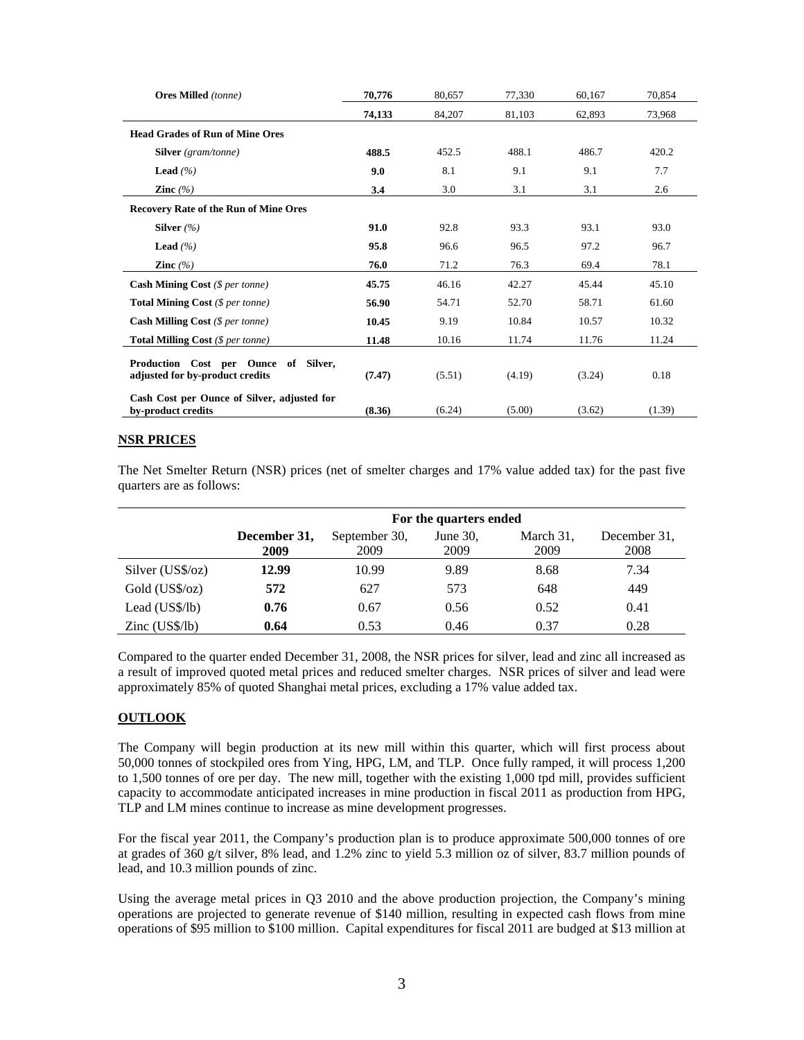| <b>Ores Milled</b> (tonne)                                              | 80,657<br>70,776 |        | 77,330 | 60,167 | 70,854 |
|-------------------------------------------------------------------------|------------------|--------|--------|--------|--------|
|                                                                         | 74,133           | 84,207 | 81,103 | 62,893 | 73,968 |
| <b>Head Grades of Run of Mine Ores</b>                                  |                  |        |        |        |        |
| <b>Silver</b> (gram/tonne)                                              | 488.5            | 452.5  | 488.1  | 486.7  | 420.2  |
| <b>Lead</b> $(\%)$                                                      | 9.0              | 8.1    | 9.1    | 9.1    | 7.7    |
| Zinc $(%$                                                               | 3.4              | 3.0    | 3.1    | 3.1    | 2.6    |
| <b>Recovery Rate of the Run of Mine Ores</b>                            |                  |        |        |        |        |
| Silver $(\% )$                                                          | 91.0             | 92.8   | 93.3   | 93.1   | 93.0   |
| <b>Lead</b> $(\%)$                                                      | 95.8             | 96.6   | 96.5   | 97.2   | 96.7   |
| Zinc $(\% )$                                                            | 76.0             | 71.2   | 76.3   | 69.4   | 78.1   |
| <b>Cash Mining Cost</b> $(\$ per tonne)$                                | 45.75            | 46.16  | 42.27  | 45.44  | 45.10  |
| <b>Total Mining Cost</b> (\$ per tonne)                                 | 56.90            | 54.71  | 52.70  | 58.71  | 61.60  |
| <b>Cash Milling Cost</b> $(\$ per tonne)$                               | 10.45            | 9.19   | 10.84  | 10.57  | 10.32  |
| Total Milling Cost (\$ per tonne)                                       | 11.48            | 10.16  | 11.74  | 11.76  | 11.24  |
| Production Cost per Ounce of Silver,<br>adjusted for by-product credits | (7.47)           | (5.51) | (4.19) | (3.24) | 0.18   |
| Cash Cost per Ounce of Silver, adjusted for<br>by-product credits       | (8.36)           | (6.24) | (5.00) | (3.62) | (1.39) |

### **NSR PRICES**

The Net Smelter Return (NSR) prices (net of smelter charges and 17% value added tax) for the past five quarters are as follows:

|                         |                      |                       | For the quarters ended |                   |                      |
|-------------------------|----------------------|-----------------------|------------------------|-------------------|----------------------|
|                         | December 31,<br>2009 | September 30.<br>2009 | June $30$ ,<br>2009    | March 31,<br>2009 | December 31.<br>2008 |
| Silver $(US\$/oz)$      | 12.99                | 10.99                 | 9.89                   | 8.68              | 7.34                 |
| Gold (US\$/oz)          | 572                  | 627                   | 573                    | 648               | 449                  |
| Lead (US\$/lb)          | 0.76                 | 0.67                  | 0.56                   | 0.52              | 0.41                 |
| $\text{Zinc}$ (US\$/lb) | 0.64                 | 0.53                  | 0.46                   | 0.37              | 0.28                 |

Compared to the quarter ended December 31, 2008, the NSR prices for silver, lead and zinc all increased as a result of improved quoted metal prices and reduced smelter charges. NSR prices of silver and lead were approximately 85% of quoted Shanghai metal prices, excluding a 17% value added tax.

#### **OUTLOOK**

The Company will begin production at its new mill within this quarter, which will first process about 50,000 tonnes of stockpiled ores from Ying, HPG, LM, and TLP. Once fully ramped, it will process 1,200 to 1,500 tonnes of ore per day. The new mill, together with the existing 1,000 tpd mill, provides sufficient capacity to accommodate anticipated increases in mine production in fiscal 2011 as production from HPG, TLP and LM mines continue to increase as mine development progresses.

For the fiscal year 2011, the Company's production plan is to produce approximate 500,000 tonnes of ore at grades of 360 g/t silver, 8% lead, and 1.2% zinc to yield 5.3 million oz of silver, 83.7 million pounds of lead, and 10.3 million pounds of zinc.

Using the average metal prices in Q3 2010 and the above production projection, the Company's mining operations are projected to generate revenue of \$140 million, resulting in expected cash flows from mine operations of \$95 million to \$100 million. Capital expenditures for fiscal 2011 are budged at \$13 million at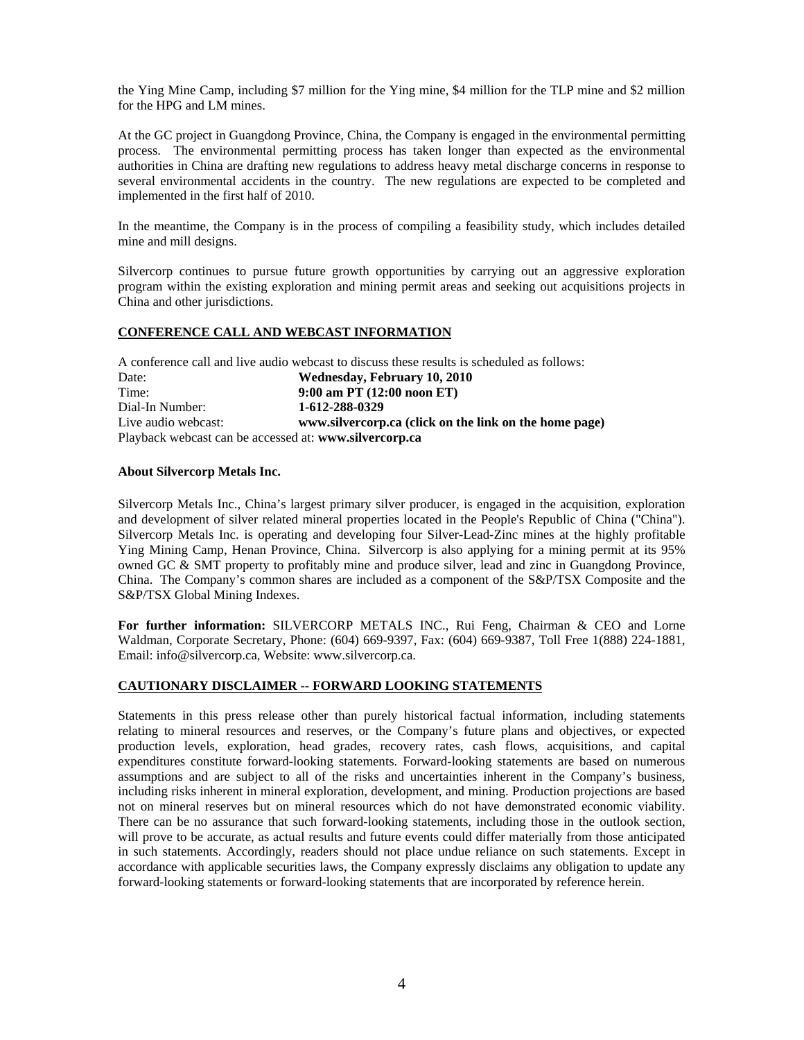the Ying Mine Camp, including \$7 million for the Ying mine, \$4 million for the TLP mine and \$2 million for the HPG and LM mines.

At the GC project in Guangdong Province, China, the Company is engaged in the environmental permitting process. The environmental permitting process has taken longer than expected as the environmental authorities in China are drafting new regulations to address heavy metal discharge concerns in response to several environmental accidents in the country. The new regulations are expected to be completed and implemented in the first half of 2010.

In the meantime, the Company is in the process of compiling a feasibility study, which includes detailed mine and mill designs.

Silvercorp continues to pursue future growth opportunities by carrying out an aggressive exploration program within the existing exploration and mining permit areas and seeking out acquisitions projects in China and other jurisdictions.

### **CONFERENCE CALL AND WEBCAST INFORMATION**

A conference call and live audio webcast to discuss these results is scheduled as follows: Date: **Wednesday, February 10, 2010** Time: **9:00 am PT (12:00 noon ET)** Dial-In Number: **1-612-288-0329**  Live audio webcast: **www.silvercorp.ca (click on the link on the home page)** Playback webcast can be accessed at: **www.silvercorp.ca**

#### **About Silvercorp Metals Inc.**

Silvercorp Metals Inc., China's largest primary silver producer, is engaged in the acquisition, exploration and development of silver related mineral properties located in the People's Republic of China ("China"). Silvercorp Metals Inc. is operating and developing four Silver-Lead-Zinc mines at the highly profitable Ying Mining Camp, Henan Province, China. Silvercorp is also applying for a mining permit at its 95% owned GC & SMT property to profitably mine and produce silver, lead and zinc in Guangdong Province, China. The Company's common shares are included as a component of the S&P/TSX Composite and the S&P/TSX Global Mining Indexes.

**For further information:** SILVERCORP METALS INC., Rui Feng, Chairman & CEO and Lorne Waldman, Corporate Secretary, Phone: (604) 669-9397, Fax: (604) 669-9387, Toll Free 1(888) 224-1881, Email: info@silvercorp.ca, Website: www.silvercorp.ca.

#### **CAUTIONARY DISCLAIMER -- FORWARD LOOKING STATEMENTS**

Statements in this press release other than purely historical factual information, including statements relating to mineral resources and reserves, or the Company's future plans and objectives, or expected production levels, exploration, head grades, recovery rates, cash flows, acquisitions, and capital expenditures constitute forward-looking statements. Forward-looking statements are based on numerous assumptions and are subject to all of the risks and uncertainties inherent in the Company's business, including risks inherent in mineral exploration, development, and mining. Production projections are based not on mineral reserves but on mineral resources which do not have demonstrated economic viability. There can be no assurance that such forward-looking statements, including those in the outlook section, will prove to be accurate, as actual results and future events could differ materially from those anticipated in such statements. Accordingly, readers should not place undue reliance on such statements. Except in accordance with applicable securities laws, the Company expressly disclaims any obligation to update any forward-looking statements or forward-looking statements that are incorporated by reference herein.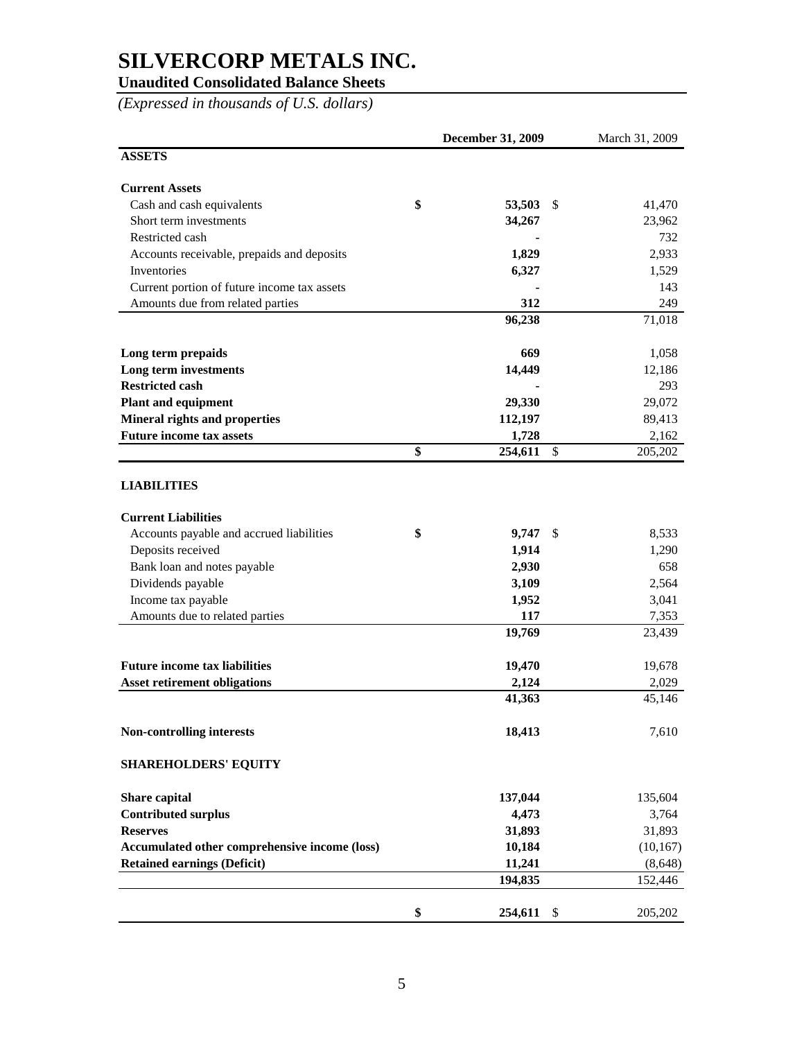## **Unaudited Consolidated Balance Sheets**

*(Expressed in thousands of U.S. dollars)* 

|                                               | December 31, 2009 | March 31, 2009 |
|-----------------------------------------------|-------------------|----------------|
| <b>ASSETS</b>                                 |                   |                |
| <b>Current Assets</b>                         |                   |                |
| Cash and cash equivalents                     | \$<br>53,503      | \$<br>41,470   |
| Short term investments                        | 34,267            | 23,962         |
| Restricted cash                               |                   | 732            |
| Accounts receivable, prepaids and deposits    | 1,829             | 2,933          |
| <b>Inventories</b>                            | 6,327             | 1,529          |
| Current portion of future income tax assets   |                   | 143            |
| Amounts due from related parties              | 312               | 249            |
|                                               | 96,238            | 71,018         |
| Long term prepaids                            | 669               | 1,058          |
| Long term investments                         | 14,449            | 12,186         |
| <b>Restricted cash</b>                        |                   | 293            |
| <b>Plant and equipment</b>                    | 29,330            | 29,072         |
| <b>Mineral rights and properties</b>          | 112,197           | 89,413         |
| <b>Future income tax assets</b>               | 1,728             | 2,162          |
|                                               | \$<br>254,611     | \$<br>205,202  |
| <b>LIABILITIES</b>                            |                   |                |
| <b>Current Liabilities</b>                    |                   |                |
| Accounts payable and accrued liabilities      | \$<br>9,747       | \$<br>8,533    |
| Deposits received                             | 1,914             | 1,290          |
| Bank loan and notes payable                   | 2,930             | 658            |
| Dividends payable                             | 3,109             | 2,564          |
| Income tax payable                            | 1,952             | 3,041          |
| Amounts due to related parties                | 117               | 7,353          |
|                                               | 19,769            | 23,439         |
| <b>Future income tax liabilities</b>          | 19,470            | 19,678         |
| <b>Asset retirement obligations</b>           | 2,124             | 2,029          |
|                                               | 41,363            | 45,146         |
| <b>Non-controlling interests</b>              | 18,413            | 7,610          |
| <b>SHAREHOLDERS' EQUITY</b>                   |                   |                |
| Share capital                                 | 137,044           | 135,604        |
| <b>Contributed surplus</b>                    | 4,473             | 3,764          |
| <b>Reserves</b>                               | 31,893            | 31,893         |
| Accumulated other comprehensive income (loss) | 10,184            | (10, 167)      |
| <b>Retained earnings (Deficit)</b>            | 11,241            | (8,648)        |
|                                               | 194,835           | 152,446        |
|                                               | \$<br>254,611     | \$<br>205,202  |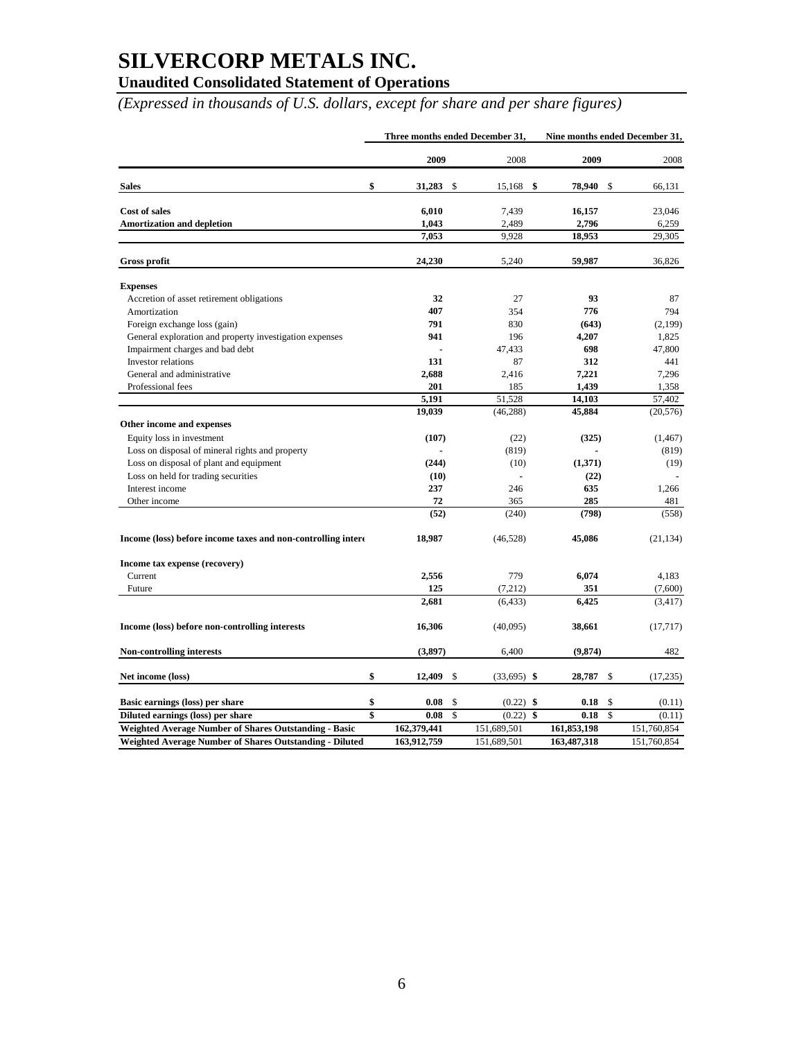### **Unaudited Consolidated Statement of Operations**

*(Expressed in thousands of U.S. dollars, except for share and per share figures)* 

|                                                              | Three months ended December 31, |    |               | Nine months ended December 31, |    |             |
|--------------------------------------------------------------|---------------------------------|----|---------------|--------------------------------|----|-------------|
|                                                              | 2009                            |    | 2008          | 2009                           |    | 2008        |
| <b>Sales</b>                                                 | \$<br>31,283                    | \$ | \$<br>15,168  | 78,940                         | \$ | 66,131      |
| <b>Cost of sales</b>                                         | 6,010                           |    | 7,439         | 16,157                         |    | 23,046      |
| <b>Amortization and depletion</b>                            | 1,043                           |    | 2,489         | 2,796                          |    | 6,259       |
|                                                              | 7,053                           |    | 9,928         | 18,953                         |    | 29,305      |
| <b>Gross profit</b>                                          | 24,230                          |    | 5,240         | 59,987                         |    | 36,826      |
| <b>Expenses</b>                                              |                                 |    |               |                                |    |             |
| Accretion of asset retirement obligations                    | 32                              |    | 27            | 93                             |    | 87          |
| Amortization                                                 | 407                             |    | 354           | 776                            |    | 794         |
| Foreign exchange loss (gain)                                 | 791                             |    | 830           | (643)                          |    | (2,199)     |
| General exploration and property investigation expenses      | 941                             |    | 196           | 4,207                          |    | 1,825       |
| Impairment charges and bad debt                              |                                 |    | 47,433        | 698                            |    | 47,800      |
| Investor relations                                           | 131                             |    | 87            | 312                            |    | 441         |
| General and administrative                                   | 2,688                           |    | 2,416         | 7,221                          |    | 7,296       |
| Professional fees                                            | 201                             |    | 185           | 1,439                          |    | 1,358       |
|                                                              | 5,191                           |    | 51,528        | 14,103                         |    | 57,402      |
|                                                              | 19,039                          |    | (46, 288)     | 45,884                         |    | (20, 576)   |
| Other income and expenses                                    |                                 |    |               |                                |    |             |
| Equity loss in investment                                    | (107)                           |    | (22)          | (325)                          |    | (1, 467)    |
| Loss on disposal of mineral rights and property              |                                 |    | (819)         |                                |    | (819)       |
| Loss on disposal of plant and equipment                      | (244)                           |    | (10)          | (1,371)                        |    | (19)        |
| Loss on held for trading securities                          | (10)                            |    | ÷.            | (22)                           |    |             |
| Interest income                                              | 237                             |    | 246           | 635                            |    | 1,266       |
| Other income                                                 | 72                              |    | 365           | 285                            |    | 481         |
|                                                              | (52)                            |    | (240)         | (798)                          |    | (558)       |
| Income (loss) before income taxes and non-controlling intere | 18,987                          |    | (46, 528)     | 45,086                         |    | (21, 134)   |
| Income tax expense (recovery)                                |                                 |    |               |                                |    |             |
| Current                                                      | 2,556                           |    | 779           | 6,074                          |    | 4,183       |
| Future                                                       | 125                             |    | (7,212)       | 351                            |    | (7,600)     |
|                                                              | 2,681                           |    | (6, 433)      | 6,425                          |    | (3, 417)    |
| Income (loss) before non-controlling interests               | 16,306                          |    | (40,095)      | 38,661                         |    | (17, 717)   |
| Non-controlling interests                                    | (3,897)                         |    | 6,400         | (9,874)                        |    | 482         |
| Net income (loss)                                            | \$<br>12,409                    | \$ | $(33,695)$ \$ | 28,787                         | \$ | (17, 235)   |
| Basic earnings (loss) per share                              | \$<br>0.08                      | \$ | $(0.22)$ \$   | 0.18                           | \$ | (0.11)      |
| Diluted earnings (loss) per share                            | \$<br>0.08                      | \$ | (0.22)<br>\$  | 0.18                           | \$ | (0.11)      |
| <b>Weighted Average Number of Shares Outstanding - Basic</b> | 162,379,441                     |    | 151,689,501   | 161,853,198                    |    | 151,760,854 |
| Weighted Average Number of Shares Outstanding - Diluted      | 163,912,759                     |    | 151,689,501   | 163,487,318                    |    | 151,760,854 |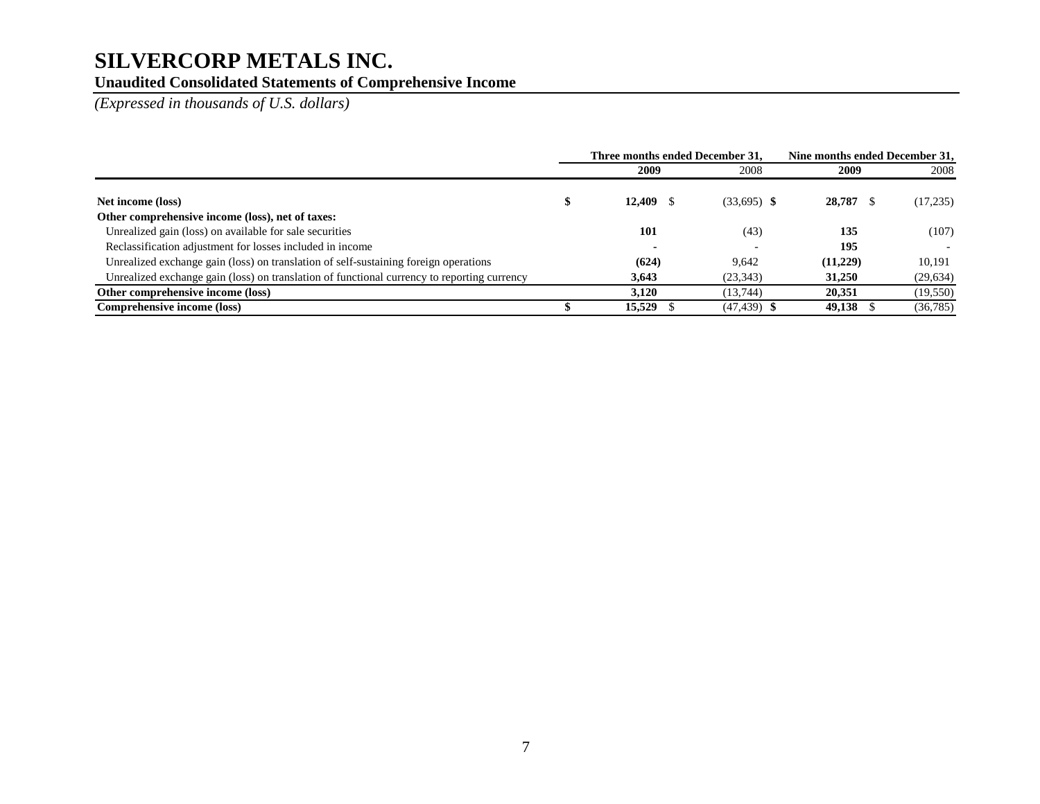## **Unaudited Consolidated Statements of Comprehensive Income**

*(Expressed in thousands of U.S. dollars)* 

|                                                                                             | Three months ended December 31. |                | Nine months ended December 31. |           |  |
|---------------------------------------------------------------------------------------------|---------------------------------|----------------|--------------------------------|-----------|--|
|                                                                                             | 2009                            | 2008           | 2009                           | 2008      |  |
| Net income (loss)                                                                           | 12,409                          | $(33,695)$ \$  | 28,787                         | (17,235)  |  |
| Other comprehensive income (loss), net of taxes:                                            |                                 |                |                                |           |  |
| Unrealized gain (loss) on available for sale securities                                     | 101                             | (43)           | 135                            | (107)     |  |
| Reclassification adjustment for losses included in income                                   | $\overline{\phantom{a}}$        |                | 195                            |           |  |
| Unrealized exchange gain (loss) on translation of self-sustaining foreign operations        | (624)                           | 9.642          | (11,229)                       | 10.191    |  |
| Unrealized exchange gain (loss) on translation of functional currency to reporting currency | 3,643                           | (23, 343)      | 31,250                         | (29, 634) |  |
| Other comprehensive income (loss)                                                           | 3.120                           | (13.744)       | 20.351                         | (19, 550) |  |
| Comprehensive income (loss)                                                                 | 15,529                          | $(47, 439)$ \$ | 49,138                         | (36, 785) |  |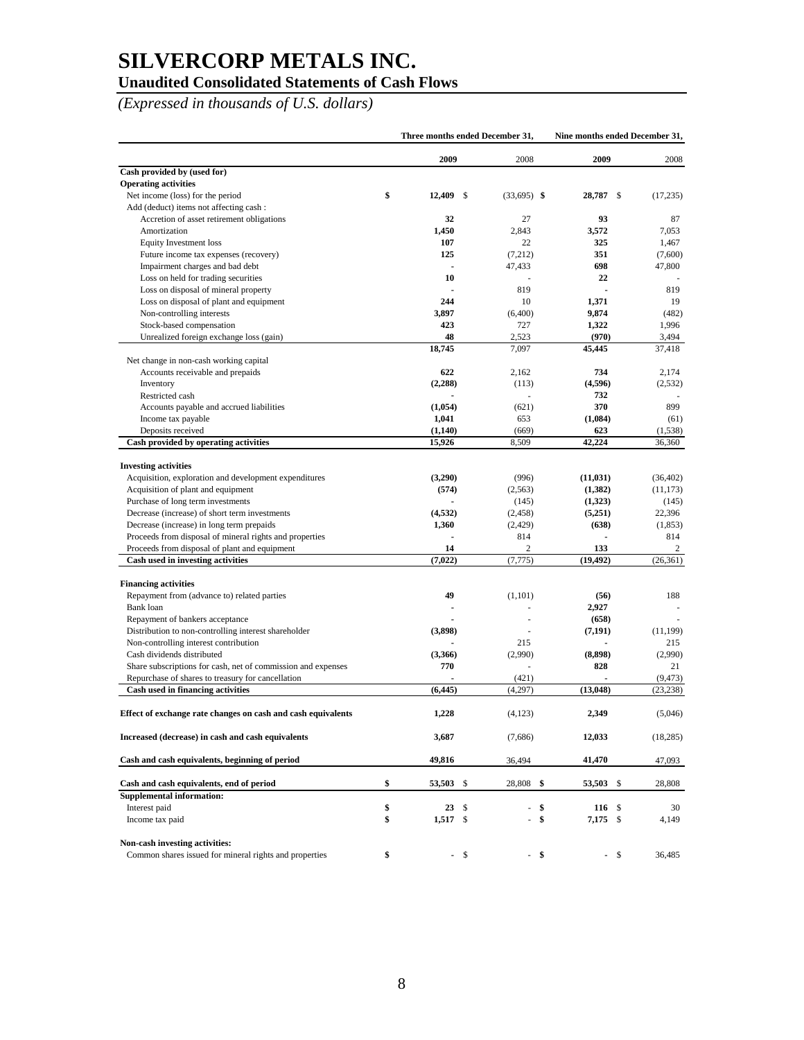## **Unaudited Consolidated Statements of Cash Flows**

*(Expressed in thousands of U.S. dollars)* 

|                                                                            | Three months ended December 31, |      |                | Nine months ended December 31, |                |                |
|----------------------------------------------------------------------------|---------------------------------|------|----------------|--------------------------------|----------------|----------------|
|                                                                            | 2009                            |      | 2008           | 2009                           |                | 2008           |
| Cash provided by (used for)                                                |                                 |      |                |                                |                |                |
| <b>Operating activities</b>                                                |                                 |      |                |                                |                |                |
| Net income (loss) for the period<br>Add (deduct) items not affecting cash: | \$<br>12,409                    | \$   | $(33,695)$ \$  | 28,787                         | -\$            | (17, 235)      |
| Accretion of asset retirement obligations                                  | 32                              |      | 27             | 93                             |                | 87             |
|                                                                            |                                 |      |                | 3,572                          |                |                |
| Amortization                                                               | 1,450<br>107                    |      | 2,843<br>22    | 325                            |                | 7,053<br>1,467 |
| Equity Investment loss                                                     | 125                             |      |                | 351                            |                |                |
| Future income tax expenses (recovery)                                      |                                 |      | (7,212)        | 698                            |                | (7,600)        |
| Impairment charges and bad debt                                            |                                 |      | 47,433         | 22                             |                | 47,800         |
| Loss on held for trading securities                                        | 10                              |      |                |                                |                |                |
| Loss on disposal of mineral property                                       | 244                             |      | 819            |                                |                | 819            |
| Loss on disposal of plant and equipment                                    |                                 |      | 10             | 1,371                          |                | 19             |
| Non-controlling interests                                                  | 3,897                           |      | (6,400)        | 9,874                          |                | (482)          |
| Stock-based compensation                                                   | 423                             |      | 727            | 1,322                          |                | 1,996          |
| Unrealized foreign exchange loss (gain)                                    | 48                              |      | 2,523          | (970)                          |                | 3,494          |
|                                                                            | 18,745                          |      | 7,097          | 45,445                         |                | 37,418         |
| Net change in non-cash working capital                                     |                                 |      |                |                                |                |                |
| Accounts receivable and prepaids                                           | 622                             |      | 2,162          | 734                            |                | 2,174          |
| Inventory                                                                  | (2,288)                         |      | (113)          | (4,596)                        |                | (2,532)        |
| Restricted cash                                                            |                                 |      | ä,             | 732                            |                |                |
| Accounts payable and accrued liabilities                                   | (1,054)                         |      | (621)          | 370                            |                | 899            |
| Income tax payable                                                         | 1,041                           |      | 653            | (1,084)                        |                | (61)           |
| Deposits received                                                          | (1,140)                         |      | (669)          | 623                            |                | (1,538)        |
| Cash provided by operating activities                                      | 15,926                          |      | 8,509          | 42,224                         |                | 36,360         |
| <b>Investing activities</b>                                                |                                 |      |                |                                |                |                |
| Acquisition, exploration and development expenditures                      | (3,290)                         |      | (996)          | (11, 031)                      |                | (36, 402)      |
| Acquisition of plant and equipment                                         | (574)                           |      | (2, 563)       | (1,382)                        |                | (11, 173)      |
| Purchase of long term investments                                          |                                 |      | (145)          | (1,323)                        |                | (145)          |
| Decrease (increase) of short term investments                              | (4, 532)                        |      | (2, 458)       | (5,251)                        |                | 22,396         |
| Decrease (increase) in long term prepaids                                  | 1,360                           |      | (2,429)        | (638)                          |                | (1, 853)       |
| Proceeds from disposal of mineral rights and properties                    |                                 |      | 814            |                                |                | 814            |
| Proceeds from disposal of plant and equipment                              | 14                              |      | $\mathfrak{2}$ | 133                            |                | 2              |
| Cash used in investing activities                                          | (7,022)                         |      | (7, 775)       | (19, 492)                      |                | (26, 361)      |
| <b>Financing activities</b>                                                |                                 |      |                |                                |                |                |
| Repayment from (advance to) related parties                                | 49                              |      | (1,101)        | (56)                           |                | 188            |
| Bank loan                                                                  |                                 |      |                | 2,927                          |                |                |
| Repayment of bankers acceptance                                            |                                 |      |                | (658)                          |                |                |
| Distribution to non-controlling interest shareholder                       | (3,898)                         |      | ä,             | (7, 191)                       |                | (11, 199)      |
| Non-controlling interest contribution                                      |                                 |      | 215            |                                |                | 215            |
| Cash dividends distributed                                                 | (3,366)                         |      | (2,990)        | (8, 898)                       |                | (2,990)        |
| Share subscriptions for cash, net of commission and expenses               | 770                             |      |                | 828                            |                | 21             |
| Repurchase of shares to treasury for cancellation                          |                                 |      | (421)          |                                | $\overline{a}$ | (9, 473)       |
| Cash used in financing activities                                          | (6, 445)                        |      | (4,297)        | (13, 048)                      |                | (23, 238)      |
| Effect of exchange rate changes on cash and cash equivalents               | 1,228                           |      | (4, 123)       | 2,349                          |                | (5,046)        |
| Increased (decrease) in cash and cash equivalents                          | 3,687                           |      | (7,686)        | 12,033                         |                | (18, 285)      |
| Cash and cash equivalents, beginning of period                             | 49,816                          |      | 36,494         | 41,470                         |                | 47,093         |
|                                                                            |                                 |      |                |                                |                |                |
| Cash and cash equivalents, end of period                                   | \$<br>53,503 \$                 |      | 28,808 \$      | 53,503 \$                      |                | 28,808         |
| <b>Supplemental information:</b>                                           | 23S                             |      | ä,             |                                |                |                |
| Interest paid                                                              | \$                              |      |                | \$                             | 116 \$         | 30             |
| Income tax paid                                                            | \$<br>$1,517$ \$                |      |                | \$<br>$7,175$ \$               |                | 4,149          |
| Non-cash investing activities:                                             |                                 |      |                |                                |                |                |
| Common shares issued for mineral rights and properties                     | \$                              | - \$ |                | - \$                           | - \$           | 36,485         |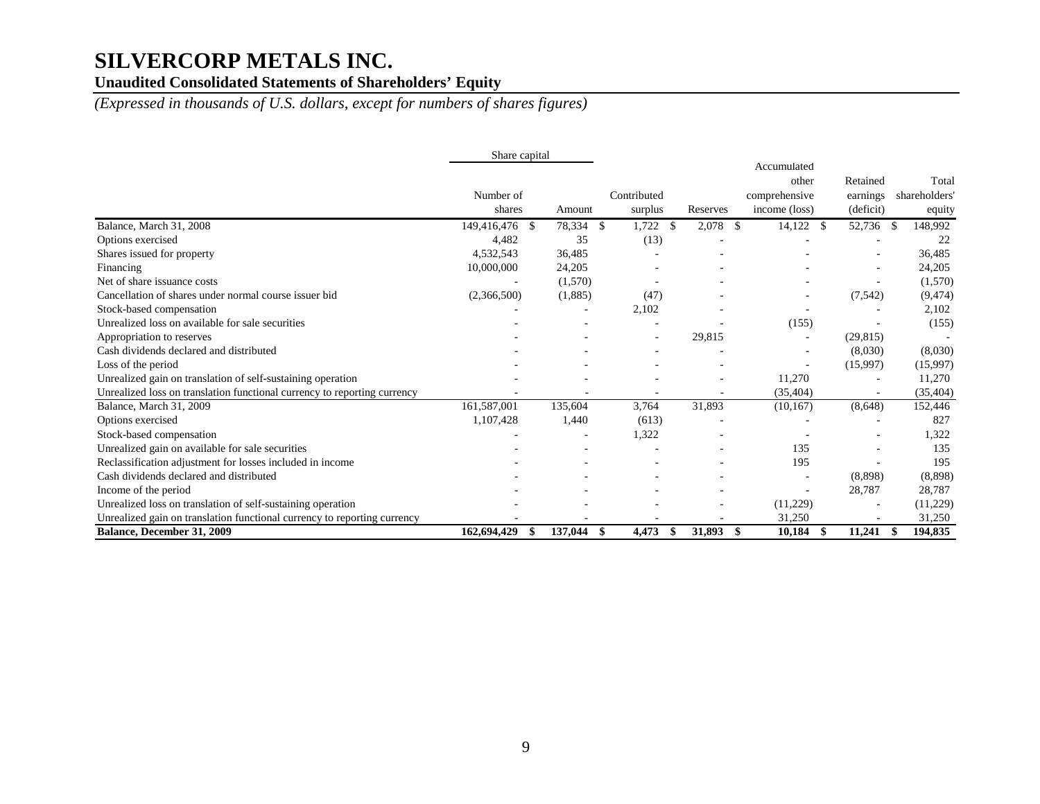## **Unaudited Consolidated Statements of Shareholders' Equity**

*(Expressed in thousands of U.S. dollars, except for numbers of shares figures)* 

|                                                                          | Share capital  |         |                               |               |                                       |                      |                       |
|--------------------------------------------------------------------------|----------------|---------|-------------------------------|---------------|---------------------------------------|----------------------|-----------------------|
|                                                                          | Number of      |         | Contributed                   |               | Accumulated<br>other<br>comprehensive | Retained<br>earnings | Total<br>shareholders |
|                                                                          | shares         | Amount  | surplus                       | Reserves      | income (loss)                         | (deficit)            | equity                |
| Balance, March 31, 2008                                                  | 149,416,476 \$ | 78,334  | 1,722<br><sup>\$</sup><br>-\$ | 2,078<br>- \$ | 14,122<br>-S                          | 52,736               | 148,992<br>-S         |
| Options exercised                                                        | 4,482          | 35      | (13)                          |               |                                       |                      | 22                    |
| Shares issued for property                                               | 4,532,543      | 36,485  |                               |               |                                       |                      | 36,485                |
| Financing                                                                | 10,000,000     | 24,205  |                               |               |                                       |                      | 24,205                |
| Net of share issuance costs                                              |                | (1,570) |                               |               |                                       |                      | (1,570)               |
| Cancellation of shares under normal course issuer bid                    | (2,366,500)    | (1,885) | (47)                          |               |                                       | (7, 542)             | (9, 474)              |
| Stock-based compensation                                                 |                |         | 2,102                         |               |                                       |                      | 2,102                 |
| Unrealized loss on available for sale securities                         |                |         |                               |               | (155)                                 |                      | (155)                 |
| Appropriation to reserves                                                |                |         |                               | 29,815        |                                       | (29, 815)            |                       |
| Cash dividends declared and distributed                                  |                |         |                               |               |                                       | (8,030)              | (8,030)               |
| Loss of the period                                                       |                |         |                               |               |                                       | (15,997)             | (15,997)              |
| Unrealized gain on translation of self-sustaining operation              |                |         |                               |               | 11,270                                |                      | 11,270                |
| Unrealized loss on translation functional currency to reporting currency |                |         |                               |               | (35, 404)                             |                      | (35, 404)             |
| Balance, March 31, 2009                                                  | 161,587,001    | 135,604 | 3,764                         | 31,893        | (10, 167)                             | (8,648)              | 152,446               |
| Options exercised                                                        | 1,107,428      | 1,440   | (613)                         |               |                                       |                      | 827                   |
| Stock-based compensation                                                 |                |         | 1,322                         |               |                                       |                      | 1,322                 |
| Unrealized gain on available for sale securities                         |                |         |                               |               | 135                                   |                      | 135                   |
| Reclassification adjustment for losses included in income                |                |         |                               |               | 195                                   |                      | 195                   |
| Cash dividends declared and distributed                                  |                |         |                               |               |                                       | (8,898)              | (8,898)               |
| Income of the period                                                     |                |         |                               |               |                                       | 28,787               | 28,787                |
| Unrealized loss on translation of self-sustaining operation              |                |         |                               |               | (11,229)                              |                      | (11,229)              |
| Unrealized gain on translation functional currency to reporting currency |                |         |                               |               | 31,250                                |                      | 31,250                |
| Balance, December 31, 2009                                               | 162,694,429    | 137,044 | 4,473<br>\$<br>-S             | 31,893<br>-S  | 10,184<br>\$                          | 11,241               | 194,835<br>- \$       |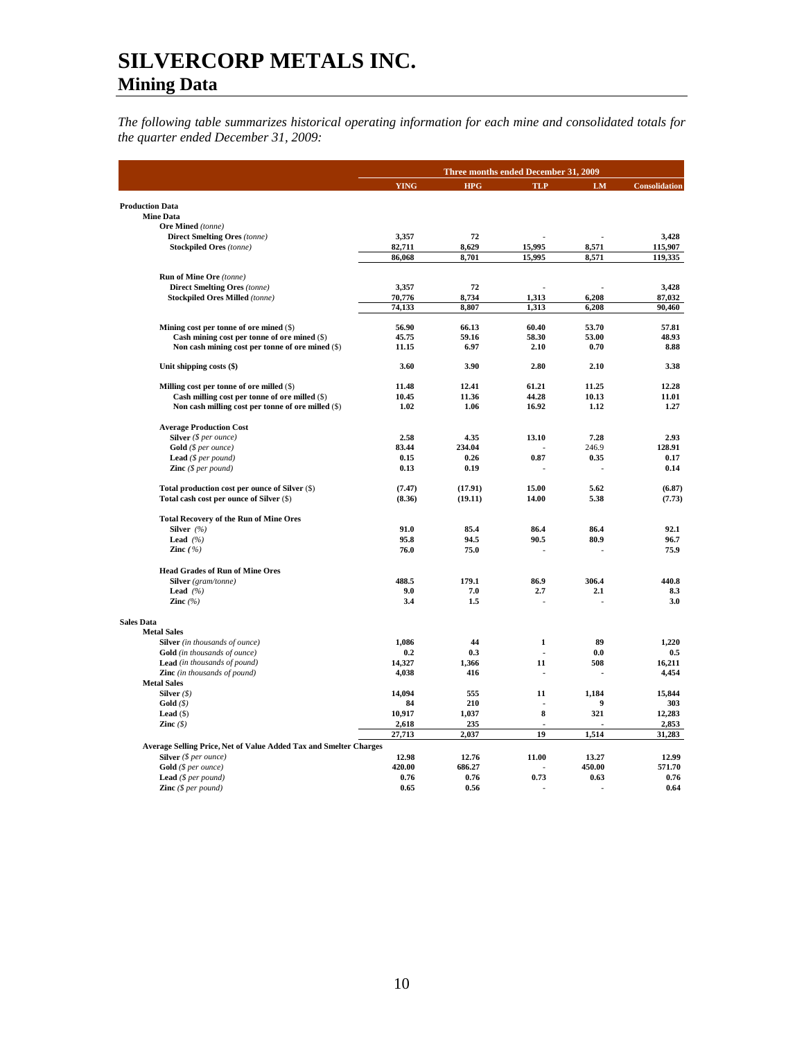*The following table summarizes historical operating information for each mine and consolidated totals for the quarter ended December 31, 2009:*

|                                                                                         |                 |              | Three months ended December 31, 2009 |                  |                 |  |
|-----------------------------------------------------------------------------------------|-----------------|--------------|--------------------------------------|------------------|-----------------|--|
|                                                                                         | <b>YING</b>     | <b>HPG</b>   | <b>TLP</b>                           | LM               | Consolidation   |  |
| <b>Production Data</b>                                                                  |                 |              |                                      |                  |                 |  |
| <b>Mine Data</b>                                                                        |                 |              |                                      |                  |                 |  |
| Ore Mined (tonne)                                                                       |                 |              |                                      |                  |                 |  |
| <b>Direct Smelting Ores (tonne)</b>                                                     | 3,357           | 72           |                                      |                  | 3,428           |  |
| <b>Stockpiled Ores</b> (tonne)                                                          | 82,711          | 8,629        | 15,995                               | 8,571            | 115,907         |  |
|                                                                                         | 86,068          | 8,701        | 15,995                               | 8,571            | 119,335         |  |
| Run of Mine Ore (tonne)                                                                 |                 |              |                                      |                  |                 |  |
| <b>Direct Smelting Ores (tonne)</b>                                                     | 3,357           | 72           |                                      |                  | 3,428           |  |
| <b>Stockpiled Ores Milled (tonne)</b>                                                   | 70,776          | 8,734        | 1,313                                | 6,208            | 87,032          |  |
|                                                                                         | 74,133          | 8,807        | 1,313                                | 6,208            | 90,460          |  |
|                                                                                         | 56.90           | 66.13        | 60.40                                | 53.70            | 57.81           |  |
| Mining cost per tonne of ore mined (\$)<br>Cash mining cost per tonne of ore mined (\$) | 45.75           | 59.16        | 58.30                                | 53.00            | 48.93           |  |
| Non cash mining cost per tonne of ore mined (\$)                                        | 11.15           | 6.97         | 2.10                                 | 0.70             | 8.88            |  |
|                                                                                         |                 |              |                                      |                  |                 |  |
| Unit shipping costs (\$)                                                                | 3.60            | 3.90         | 2.80                                 | 2.10             | 3.38            |  |
| Milling cost per tonne of ore milled (\$)                                               | 11.48           | 12.41        | 61.21                                | 11.25            | 12.28           |  |
| Cash milling cost per tonne of ore milled (\$)                                          | 10.45           | 11.36        | 44.28                                | 10.13            | 11.01           |  |
| Non cash milling cost per tonne of ore milled (\$)                                      | 1.02            | 1.06         | 16.92                                | 1.12             | 1.27            |  |
| <b>Average Production Cost</b>                                                          |                 |              |                                      |                  |                 |  |
| Silver $(§ per ounce)$                                                                  | 2.58            | 4.35         | 13.10                                | 7.28             | 2.93            |  |
| Gold (\$ per ounce)                                                                     | 83.44           | 234.04       |                                      | 246.9            | 128.91          |  |
| Lead (\$ per pound)                                                                     | 0.15            | 0.26         | 0.87                                 | 0.35             | 0.17            |  |
| <b>Zinc</b> $(S \text{ per pound})$                                                     | 0.13            | 0.19         |                                      |                  | 0.14            |  |
| Total production cost per ounce of Silver (\$)                                          | (7.47)          | (17.91)      | 15.00                                | 5.62             | (6.87)          |  |
| Total cash cost per ounce of Silver (\$)                                                | (8.36)          | (19.11)      | 14.00                                | 5.38             | (7.73)          |  |
| <b>Total Recovery of the Run of Mine Ores</b>                                           |                 |              |                                      |                  |                 |  |
| Silver (%)                                                                              | 91.0            | 85.4         | 86.4                                 | 86.4             | 92.1            |  |
| Lead $(%$                                                                               | 95.8            | 94.5         | 90.5                                 | 80.9             | 96.7            |  |
| Zinc $( %)$                                                                             | 76.0            | 75.0         |                                      |                  | 75.9            |  |
| <b>Head Grades of Run of Mine Ores</b>                                                  |                 |              |                                      |                  |                 |  |
| Silver (gram/tonne)                                                                     | 488.5           | 179.1        | 86.9                                 | 306.4            | 440.8           |  |
| Lead $(%$                                                                               | 9.0             | 7.0          | 2.7                                  | 2.1              | 8.3             |  |
| Zinc $(\% )$                                                                            | 3.4             | 1.5          |                                      |                  | 3.0             |  |
| <b>Sales Data</b>                                                                       |                 |              |                                      |                  |                 |  |
| <b>Metal Sales</b>                                                                      |                 |              |                                      |                  |                 |  |
| Silver (in thousands of ounce)                                                          | 1.086           | 44           | $\mathbf{1}$                         | 89               | 1,220           |  |
| <b>Gold</b> (in thousands of ounce)                                                     | 0.2             | 0.3          |                                      | 0.0              | 0.5             |  |
| <b>Lead</b> (in thousands of pound)                                                     | 14.327          | 1.366        | 11                                   | 508              | 16.211          |  |
| <b>Zinc</b> (in thousands of pound)                                                     | 4,038           | 416          |                                      |                  | 4,454           |  |
| <b>Metal Sales</b>                                                                      |                 |              |                                      |                  |                 |  |
| Silver $(\$)$                                                                           | 14,094          | 555          | 11                                   | 1,184            | 15,844          |  |
| Gold(S)                                                                                 | 84              | 210          |                                      | $\boldsymbol{9}$ | 303             |  |
| Lead $(S)$                                                                              | 10,917          | 1,037        | 8                                    | 321              | 12,283          |  |
| Zinc $(\$)$                                                                             | 2,618<br>27,713 | 235<br>2,037 | 19                                   | 1,514            | 2,853<br>31,283 |  |
| Average Selling Price, Net of Value Added Tax and Smelter Charges                       |                 |              |                                      |                  |                 |  |
| Silver (\$ per ounce)                                                                   | 12.98           | 12.76        | 11.00                                | 13.27            | 12.99           |  |
| Gold (\$ per ounce)                                                                     | 420.00          | 686.27       |                                      | 450.00           | 571.70          |  |
| <b>Lead</b> ( $$per pound$ )                                                            | 0.76            | 0.76         | 0.73                                 | 0.63             | 0.76            |  |
| <b>Zinc</b> $(\$ per pound)$                                                            | 0.65            | 0.56         |                                      |                  | 0.64            |  |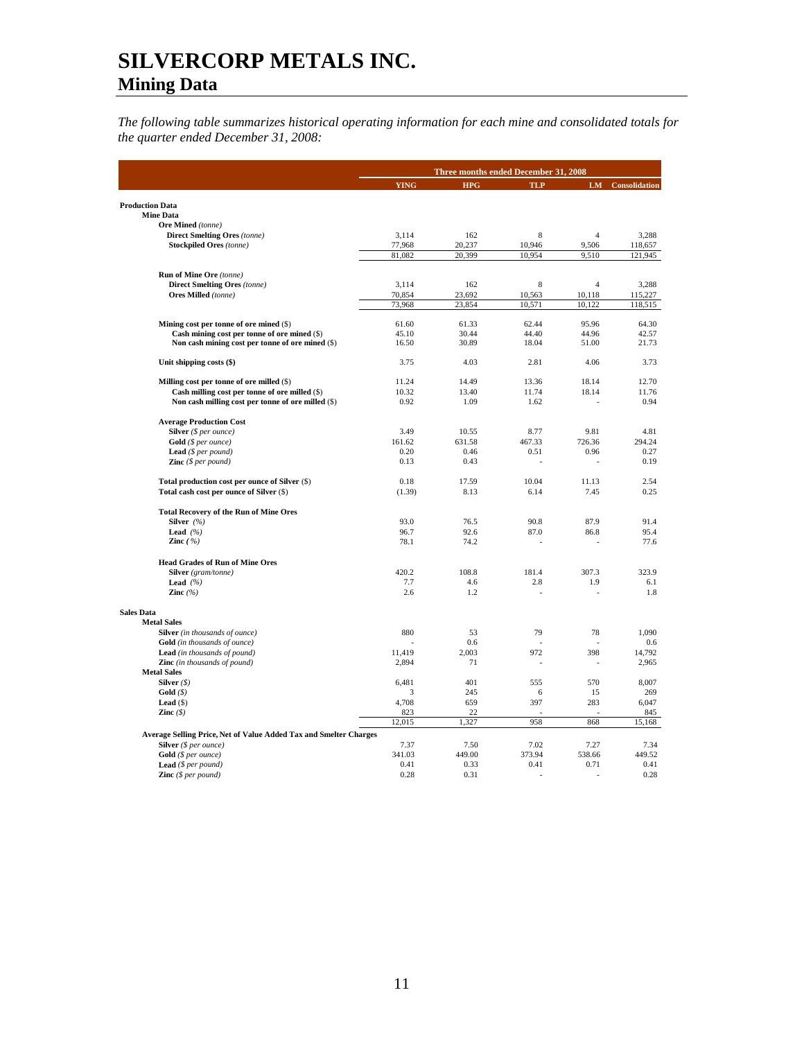*The following table summarizes historical operating information for each mine and consolidated totals for the quarter ended December 31, 2008:* 

|                                                                   |             | Three months ended December 31, 2008 |            |                |                      |  |
|-------------------------------------------------------------------|-------------|--------------------------------------|------------|----------------|----------------------|--|
|                                                                   | <b>YING</b> | <b>HPG</b>                           | <b>TLP</b> | <b>LM</b>      | <b>Consolidation</b> |  |
|                                                                   |             |                                      |            |                |                      |  |
| <b>Production Data</b><br><b>Mine Data</b>                        |             |                                      |            |                |                      |  |
| Ore Mined (tonne)                                                 |             |                                      |            |                |                      |  |
| <b>Direct Smelting Ores (tonne)</b>                               | 3,114       | 162                                  | 8          | $\overline{4}$ | 3,288                |  |
| <b>Stockpiled Ores</b> (tonne)                                    | 77,968      | 20,237                               | 10,946     | 9,506          | 118,657              |  |
|                                                                   | 81,082      | 20,399                               | 10,954     | 9,510          | 121,945              |  |
| Run of Mine Ore (tonne)                                           |             |                                      |            |                |                      |  |
| <b>Direct Smelting Ores (tonne)</b>                               | 3,114       | 162                                  | 8          | $\overline{4}$ | 3,288                |  |
| Ores Milled (tonne)                                               | 70,854      | 23,692                               | 10,563     | 10,118         | 115,227              |  |
|                                                                   | 73,968      | 23,854                               | 10,571     | 10,122         | 118,515              |  |
| Mining cost per tonne of ore mined (\$)                           | 61.60       | 61.33                                | 62.44      | 95.96          | 64.30                |  |
| Cash mining cost per tonne of ore mined (\$)                      | 45.10       | 30.44                                | 44.40      | 44.96          | 42.57                |  |
| Non cash mining cost per tonne of ore mined (\$)                  | 16.50       | 30.89                                | 18.04      | 51.00          | 21.73                |  |
| Unit shipping costs (\$)                                          | 3.75        | 4.03                                 | 2.81       | 4.06           | 3.73                 |  |
|                                                                   |             |                                      |            |                |                      |  |
| Milling cost per tonne of ore milled (\$)                         | 11.24       | 14.49                                | 13.36      | 18.14          | 12.70                |  |
| Cash milling cost per tonne of ore milled (\$)                    | 10.32       | 13.40                                | 11.74      | 18.14          | 11.76                |  |
| Non cash milling cost per tonne of ore milled (\$)                | 0.92        | 1.09                                 | 1.62       |                | 0.94                 |  |
| <b>Average Production Cost</b>                                    |             |                                      |            |                |                      |  |
| Silver (\$ per ounce)                                             | 3.49        | 10.55                                | 8.77       | 9.81           | 4.81                 |  |
| Gold (\$ per ounce)                                               | 161.62      | 631.58                               | 467.33     | 726.36         | 294.24               |  |
| <b>Lead</b> ( $$per pound$ )                                      | 0.20        | 0.46                                 | 0.51       | 0.96           | 0.27                 |  |
| Zinc (\$ per pound)                                               | 0.13        | 0.43                                 | ÷          | $\overline{a}$ | 0.19                 |  |
| Total production cost per ounce of Silver (\$)                    | 0.18        | 17.59                                | 10.04      | 11.13          | 2.54                 |  |
| Total cash cost per ounce of Silver (\$)                          | (1.39)      | 8.13                                 | 6.14       | 7.45           | 0.25                 |  |
| <b>Total Recovery of the Run of Mine Ores</b>                     |             |                                      |            |                |                      |  |
| Silver $(%)$                                                      | 93.0        | 76.5                                 | 90.8       | 87.9           | 91.4                 |  |
| Lead $(%$                                                         | 96.7        | 92.6                                 | 87.0       | 86.8           | 95.4                 |  |
| Zinc $(%)$                                                        | 78.1        | 74.2                                 |            |                | 77.6                 |  |
| <b>Head Grades of Run of Mine Ores</b>                            |             |                                      |            |                |                      |  |
| Silver (gram/tonne)                                               | 420.2       | 108.8                                | 181.4      | 307.3          | 323.9                |  |
| <b>Lead</b> $(%$                                                  | 7.7         | 4.6                                  | 2.8        | 1.9            | 6.1                  |  |
| Zinc $(%$                                                         | 2.6         | 1.2                                  |            |                | 1.8                  |  |
| <b>Sales Data</b>                                                 |             |                                      |            |                |                      |  |
| <b>Metal Sales</b>                                                |             |                                      |            |                |                      |  |
| Silver (in thousands of ounce)                                    | 880         | 53                                   | 79         | 78             | 1,090                |  |
| <b>Gold</b> (in thousands of ounce)                               |             | 0.6                                  |            |                | 0.6                  |  |
| Lead (in thousands of pound)                                      | 11,419      | 2,003                                | 972        | 398            | 14,792               |  |
| Zinc (in thousands of pound)                                      | 2,894       | 71                                   |            |                | 2,965                |  |
| <b>Metal Sales</b>                                                |             |                                      |            |                |                      |  |
| Silver $(\$)$                                                     | 6,481       | 401                                  | 555        | 570            | 8,007                |  |
| Gold(S)<br>Lead $(\$)$                                            | 3<br>4,708  | 245<br>659                           | 6<br>397   | 15<br>283      | 269<br>6,047         |  |
| Zinc $(S)$                                                        | 823         | 22                                   |            |                | 845                  |  |
|                                                                   | 12,015      | 1,327                                | 958        | 868            | 15,168               |  |
| Average Selling Price, Net of Value Added Tax and Smelter Charges |             |                                      |            |                |                      |  |
| Silver (\$ per ounce)                                             | 7.37        | 7.50                                 | 7.02       | 7.27           | 7.34                 |  |
| Gold (\$ per ounce)                                               | 341.03      | 449.00                               | 373.94     | 538.66         | 449.52               |  |
| <b>Lead</b> ( $$per$ <i>pound</i> )                               | 0.41        | 0.33                                 | 0.41       | 0.71           | 0.41                 |  |
| <b>Zinc</b> $(S \text{ per pound})$                               | 0.28        | 0.31                                 |            |                | 0.28                 |  |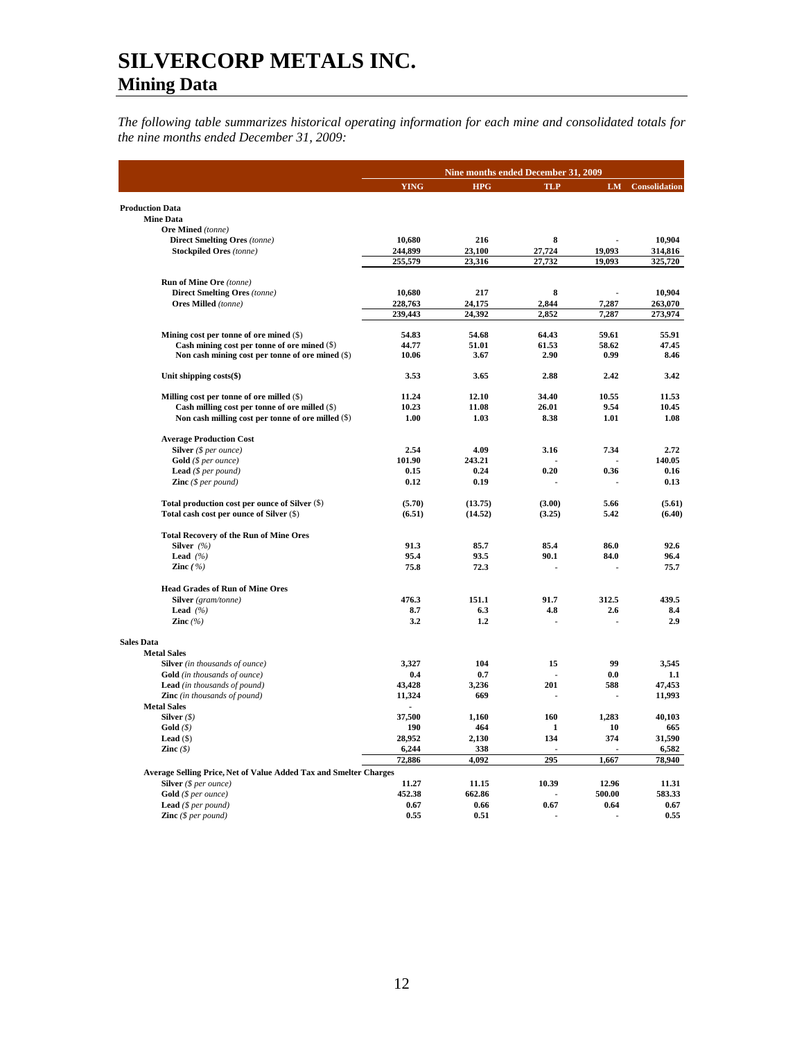*The following table summarizes historical operating information for each mine and consolidated totals for the nine months ended December 31, 2009:* 

|                                                                   |                 | Nine months ended December 31, 2009 |            |        |                         |
|-------------------------------------------------------------------|-----------------|-------------------------------------|------------|--------|-------------------------|
|                                                                   | <b>YING</b>     | <b>HPG</b>                          | <b>TLP</b> |        | <b>LM</b> Consolidation |
| <b>Production Data</b>                                            |                 |                                     |            |        |                         |
| <b>Mine Data</b>                                                  |                 |                                     |            |        |                         |
| Ore Mined (tonne)                                                 |                 |                                     |            |        |                         |
| <b>Direct Smelting Ores (tonne)</b>                               | 10,680          | 216                                 | 8          |        | 10.904                  |
| <b>Stockpiled Ores</b> (tonne)                                    | 244.899         | 23.100                              | 27,724     | 19,093 | 314,816                 |
|                                                                   | 255,579         | 23,316                              | 27,732     | 19,093 | 325,720                 |
| <b>Run of Mine Ore</b> (tonne)                                    |                 |                                     |            |        |                         |
| <b>Direct Smelting Ores (tonne)</b>                               | 10,680          | 217                                 | 8          |        | 10.904                  |
| <b>Ores Milled</b> (tonne)                                        | 228,763         | 24,175                              | 2,844      | 7,287  | 263,070                 |
|                                                                   | 239,443         | 24,392                              | 2,852      | 7,287  | 273,974                 |
| Mining cost per tonne of ore mined (\$)                           | 54.83           | 54.68                               | 64.43      | 59.61  | 55.91                   |
| Cash mining cost per tonne of ore mined (\$)                      | 44.77           | 51.01                               | 61.53      | 58.62  | 47.45                   |
| Non cash mining cost per tonne of ore mined (\$)                  | 10.06           | 3.67                                | 2.90       | 0.99   | 8.46                    |
| Unit shipping costs(\$)                                           | 3.53            | 3.65                                | 2.88       | 2.42   | 3.42                    |
| Milling cost per tonne of ore milled (\$)                         | 11.24           | 12.10                               | 34.40      | 10.55  | 11.53                   |
| Cash milling cost per tonne of ore milled (\$)                    | 10.23           | 11.08                               | 26.01      | 9.54   | 10.45                   |
| Non cash milling cost per tonne of ore milled (\$)                | 1.00            | 1.03                                | 8.38       | 1.01   | 1.08                    |
| <b>Average Production Cost</b>                                    |                 |                                     |            |        |                         |
| Silver (\$ per ounce)                                             | 2.54            | 4.09                                | 3.16       | 7.34   | 2.72                    |
| Gold (\$ per ounce)                                               | 101.90          | 243.21                              |            |        | 140.05                  |
| <b>Lead</b> ( $$per pound$ )                                      | 0.15            | 0.24                                | 0.20       | 0.36   | 0.16                    |
| <b>Zinc</b> $(\$ per pound)$                                      | 0.12            | 0.19                                |            |        | 0.13                    |
| Total production cost per ounce of Silver (\$)                    | (5.70)          | (13.75)                             | (3.00)     | 5.66   | (5.61)                  |
| Total cash cost per ounce of Silver (\$)                          | (6.51)          | (14.52)                             | (3.25)     | 5.42   | (6.40)                  |
| <b>Total Recovery of the Run of Mine Ores</b>                     |                 |                                     |            |        |                         |
| Silver $(\% )$                                                    | 91.3            | 85.7                                | 85.4       | 86.0   | 92.6                    |
| Lead $(%$                                                         | 95.4            | 93.5                                | 90.1       | 84.0   | 96.4                    |
| Zinc $(\% )$                                                      | 75.8            | 72.3                                |            |        | 75.7                    |
| <b>Head Grades of Run of Mine Ores</b>                            |                 |                                     |            |        |                         |
| Silver (gram/tonne)                                               | 476.3           | 151.1                               | 91.7       | 312.5  | 439.5                   |
| Lead $(%$                                                         | 8.7             | 6.3                                 | 4.8        | 2.6    | 8.4                     |
| Zinc $(%$                                                         | 3.2             | 1.2                                 |            |        | 2.9                     |
| <b>Sales Data</b>                                                 |                 |                                     |            |        |                         |
| <b>Metal Sales</b>                                                |                 |                                     |            |        |                         |
| <b>Silver</b> (in thousands of ounce)                             | 3,327           | 104                                 | 15         | 99     | 3,545                   |
| <b>Gold</b> (in thousands of ounce)                               | 0.4             | 0.7                                 |            | 0.0    | 1.1                     |
| Lead (in thousands of pound)                                      | 43,428          | 3,236                               | 201        | 588    | 47,453                  |
| Zinc (in thousands of pound)                                      | 11,324          | 669                                 |            |        | 11,993                  |
| <b>Metal Sales</b>                                                |                 |                                     |            |        |                         |
| Silver $(\$)$                                                     | 37,500          | 1.160                               | 160        | 1,283  | 40,103                  |
| Gold(S)                                                           | 190             | 464                                 | 1          | 10     | 665                     |
| Lead $(S)$                                                        | 28,952          | 2,130                               | 134        | 374    | 31,590                  |
| Zinc $(\$)$                                                       | 6,244<br>72,886 | 338<br>4,092                        | 295        | 1,667  | 6,582<br>78,940         |
| Average Selling Price, Net of Value Added Tax and Smelter Charges |                 |                                     |            |        |                         |
| Silver $(§ per ounce)$                                            | 11.27           | 11.15                               | 10.39      | 12.96  | 11.31                   |
| Gold (\$ per ounce)                                               | 452.38          | 662.86                              |            | 500.00 | 583.33                  |
| <b>Lead</b> ( $$per pound$ )                                      | 0.67            | 0.66                                | 0.67       | 0.64   | 0.67                    |
| <b>Zinc</b> $(\$ per pound)$                                      | 0.55            | 0.51                                |            |        | 0.55                    |